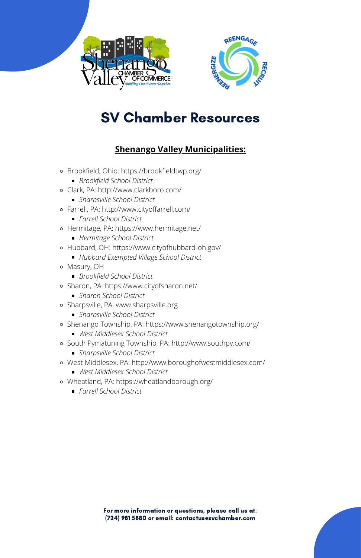



# SV Chamber Resources

For more information or questions, please call us at: (724) 981 5880 or email: contactus@svchamber.com



- Brookfield, Ohio: <https://brookfieldtwp.org/>
	- *Brookfield School District*
- Clark, PA: <http://www.clarkboro.com/>
	- *Sharpsville School District*
- Farrell, PA: <http://www.cityoffarrell.com/>
	- *Farrell School District*
- Hermitage, PA: <https://www.hermitage.net/>
	- *Hermitage School District*
- Hubbard, OH: <https://www.cityofhubbard-oh.gov/>
	- *Hubbard Exempted Village School District*
- Masury, OH
	- *Brookfield School District*
- Sharon, PA: <https://www.cityofsharon.net/>
	- *Sharon School District*
- Sharpsville, PA: [www.sharpsville.org](http://www.sharpsville.org/)
	- *Sharpsville School District*
- Shenango Township, PA: <https://www.shenangotownship.org/>
	- *West Middlesex School District*
- South Pymatuning Township, PA: <http://www.southpy.com/>
	- *Sharpsville School District*
- West Middlesex, PA: <http://www.boroughofwestmiddlesex.com/>
	- *West Middlesex School District*
- Wheatland, PA: <https://wheatlandborough.org/>
	- *Farrell School District*

## **Shenango Valley Municipalities:**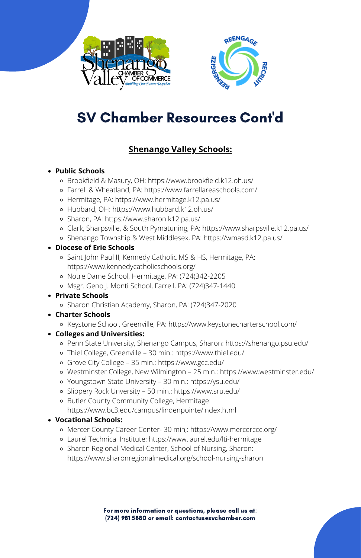



# SV Chamber Resources Cont'd

For more information or questions, please call us at: (724) 981 5880 or email: contactus@svchamber.com



### **Public Schools**

- Brookfield & Masury, OH: <https://www.brookfield.k12.oh.us/>
- Farrell & Wheatland, PA: <https://www.farrellareaschools.com/>
- Hermitage, PA: <https://www.hermitage.k12.pa.us/>
- Hubbard, OH: <https://www.hubbard.k12.oh.us/>
- Sharon, PA: <https://www.sharon.k12.pa.us/>
- Clark, Sharpsville, & South Pymatuning, PA: <https://www.sharpsville.k12.pa.us/>
- Shenango Township & West Middlesex, PA: <https://wmasd.k12.pa.us/>

### **Diocese of Erie Schools**

- Saint John Paul II, Kennedy Catholic MS & HS, Hermitage, PA: <https://www.kennedycatholicschools.org/>
- Notre Dame School, Hermitage, PA: (724)342-2205
- Msgr. Geno J. Monti School, Farrell, PA: (724)347-1440
- **Private Schools**
	- Sharon Christian Academy, Sharon, PA: (724)347-2020
- **Charter Schools**
	- Keystone School, Greenville, PA: <https://www.keystonecharterschool.com/>
- **Colleges and Universities:**
	- Penn State University, Shenango Campus, Sharon: <https://shenango.psu.edu/>
	- Thiel College, Greenville 30 min.: <https://www.thiel.edu/>
	- Grove City College 35 min.: <https://www.gcc.edu/>
	- Westminster College, New Wilmington 25 min.: <https://www.westminster.edu/>
	- Youngstown State University 30 min.: <https://ysu.edu/>
	- Slippery Rock Unversity 50 min.: <https://www.sru.edu/>
	- Butler County Community College, Hermitage:
		- <https://www.bc3.edu/campus/lindenpointe/index.html>

#### **Vocational Schools:**

- Mercer County Career Center- 30 min,: <https://www.mercerccc.org/>
- Laurel Technical Institute: <https://www.laurel.edu/lti-hermitage>
- Sharon Regional Medical Center, School of Nursing, Sharon: <https://www.sharonregionalmedical.org/school-nursing-sharon>

## **Shenango Valley Schools:**